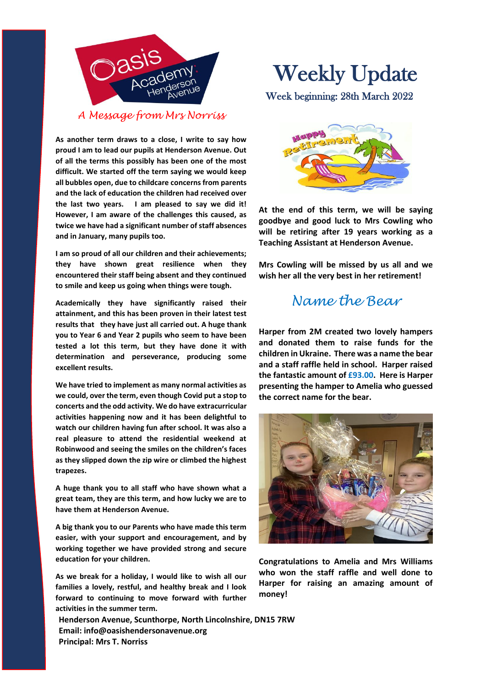

**As another term draws to a close, I write to say how proud I am to lead our pupils at Henderson Avenue. Out of all the terms this possibly has been one of the most difficult. We started off the term saying we would keep all bubbles open, due to childcare concerns from parents and the lack of education the children had received over the last two years. I am pleased to say we did it! However, I am aware of the challenges this caused, as twice we have had a significant number of staff absences and in January, many pupils too.** 

**I am so proud of all our children and their achievements; they have shown great resilience when they encountered their staff being absent and they continued to smile and keep us going when things were tough.**

**Academically they have significantly raised their attainment, and this has been proven in their latest test results that they have just all carried out. A huge thank you to Year 6 and Year 2 pupils who seem to have been tested a lot this term, but they have done it with determination and perseverance, producing some excellent results.**

**We have tried to implement as many normal activities as we could, over the term, even though Covid put a stop to concerts and the odd activity. We do have extracurricular activities happening now and it has been delightful to watch our children having fun after school. It was also a real pleasure to attend the residential weekend at Robinwood and seeing the smiles on the children's faces as they slipped down the zip wire or climbed the highest trapezes.**

**A huge thank you to all staff who have shown what a great team, they are this term, and how lucky we are to have them at Henderson Avenue.** 

**A big thank you to our Parents who have made this term easier, with your support and encouragement, and by working together we have provided strong and secure education for your children.**

**As we break for a holiday, I would like to wish all our families a lovely, restful, and healthy break and I look forward to continuing to move forward with further activities in the summer term.**

**Henderson Avenue, Scunthorpe, North Lincolnshire, DN15 7RW Email: info@oasishendersonavenue.org Principal: Mrs T. Norriss**

# Weekly Update

Week beginning: 28th March 2022



**At the end of this term, we will be saying goodbye and good luck to Mrs Cowling who will be retiring after 19 years working as a Teaching Assistant at Henderson Avenue.**

**Mrs Cowling will be missed by us all and we wish her all the very best in her retirement!**

### *Name the Bear*

**Harper from 2M created two lovely hampers and donated them to raise funds for the children in Ukraine. There was a name the bear and a staff raffle held in school. Harper raised the fantastic amount of £93.00. Here is Harper presenting the hamper to Amelia who guessed the correct name for the bear.**



**Congratulations to Amelia and Mrs Williams who won the staff raffle and well done to Harper for raising an amazing amount of money!**